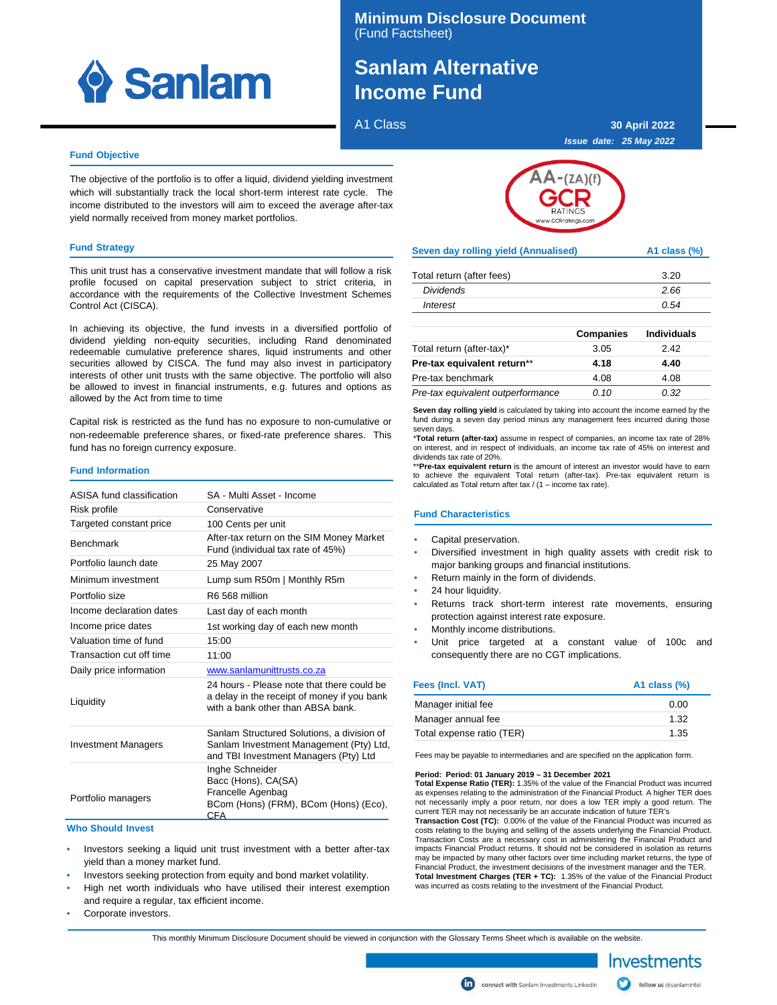

### **Minimum Disclosure Document** (Fund Factsheet)

# **SANLAM ALTERNATIVE Sanlam Alternative Income Fund**

A1 Class

**30 April 2022 Issue date: 25 May 2022**

#### **Fund Objective**

The objective of the portfolio is to offer a liquid, dividend yielding investment which will substantially track the local short-term interest rate cycle. The income distributed to the investors will aim to exceed the average after-tax yield normally received from money market portfolios.

#### **Fund Strategy**

This unit trust has a conservative investment mandate that will follow a risk profile focused on capital preservation subject to strict criteria, in accordance with the requirements of the Collective Investment Schemes Control Act (CISCA).

In achieving its objective, the fund invests in a diversified portfolio of dividend yielding non-equity securities, including Rand denominated redeemable cumulative preference shares, liquid instruments and other securities allowed by CISCA. The fund may also invest in participatory interests of other unit trusts with the same objective. The portfolio will also be allowed to invest in financial instruments, e.g. futures and options as allowed by the Act from time to time

Capital risk is restricted as the fund has no exposure to non-cumulative or non-redeemable preference shares, or fixed-rate preference shares. This fund has no foreign currency exposure.

#### **Fund Information**

| ASISA fund classification  | SA - Multi Asset - Income                                                                                                      |
|----------------------------|--------------------------------------------------------------------------------------------------------------------------------|
| Risk profile               | Conservative                                                                                                                   |
| Targeted constant price    | 100 Cents per unit                                                                                                             |
| <b>Benchmark</b>           | After-tax return on the SIM Money Market<br>Fund (individual tax rate of 45%)                                                  |
| Portfolio launch date      | 25 May 2007                                                                                                                    |
| Minimum investment         | Lump sum R50m   Monthly R5m                                                                                                    |
| Portfolio size             | R6 568 million                                                                                                                 |
| Income declaration dates   | Last day of each month                                                                                                         |
| Income price dates         | 1st working day of each new month                                                                                              |
| Valuation time of fund     | 15:00                                                                                                                          |
| Transaction cut off time   | 11:00                                                                                                                          |
| Daily price information    | www.sanlamunittrusts.co.za                                                                                                     |
| Liquidity                  | 24 hours - Please note that there could be<br>a delay in the receipt of money if you bank<br>with a bank other than ABSA bank. |
| <b>Investment Managers</b> | Sanlam Structured Solutions, a division of<br>Sanlam Investment Management (Pty) Ltd,<br>and TBI Investment Managers (Pty) Ltd |
| Portfolio managers         | Inghe Schneider<br>Bacc (Hons), CA(SA)<br>Francelle Agenbag<br>BCom (Hons) (FRM), BCom (Hons) (Eco),<br><b>CFA</b>             |

#### **Who Should Invest**

- Investors seeking a liquid unit trust investment with a better after-tax yield than a money market fund.
- Investors seeking protection from equity and bond market volatility.
- High net worth individuals who have utilised their interest exemption and require a regular, tax efficient income.
- Corporate investors.



| Seven day rolling yield (Annualised) | A1 class (%) |
|--------------------------------------|--------------|
|--------------------------------------|--------------|

| Total return (after fees) | 3.20 |
|---------------------------|------|
| <b>Dividends</b>          | 2.66 |
| Interest                  | 0.54 |

|                                   | <b>Companies</b> | <b>Individuals</b> |
|-----------------------------------|------------------|--------------------|
| Total return (after-tax)*         | 3.05             | 2.42               |
| Pre-tax equivalent return**       | 4.18             | 4.40               |
| Pre-tax benchmark                 | 4.08             | 4.08               |
| Pre-tax equivalent outperformance | 0.10             | 0.32               |

**Seven day rolling yield** is calculated by taking into account the income earned by the fund during a seven day period minus any management fees incurred during those seven days.

\***Total return (after-tax)** assume in respect of companies, an income tax rate of 28% on interest, and in respect of individuals, an income tax rate of 45% on interest and dividends tax rate of 20%.

\*\***Pre-tax equivalent return** is the amount of interest an investor would have to earn to achieve the equivalent Total return (after-tax). Pre-tax equivalent return is calculated as Total return after tax / (1 – income tax rate).

#### **Fund Characteristics**

- Capital preservation.
- Diversified investment in high quality assets with credit risk to major banking groups and financial institutions.
- Return mainly in the form of dividends.
- 24 hour liquidity.
- Returns track short-term interest rate movements, ensuring protection against interest rate exposure.
- Monthly income distributions.
- Unit price targeted at a constant value of 100c and consequently there are no CGT implications.

| Fees (Incl. VAT)          | A1 class $(\%)$ |
|---------------------------|-----------------|
| Manager initial fee       | 0.00            |
| Manager annual fee        | 1.32            |
| Total expense ratio (TER) | 1.35            |

Fees may be payable to intermediaries and are specified on the application form.

**Period: Period: 01 January 2019 – 31 December 2021 Total Expense Ratio (TER):** 1.35% of the value of the Financial Product was incurred as expenses relating to the administration of the Financial Product. A higher TER does not necessarily imply a poor return, nor does a low TER imply a good return. The current TER may not necessarily be an accurate indication of future TER's **Transaction Cost (TC):** 0.00% of the value of the Financial Product was incurred as

costs relating to the buying and selling of the assets underlying the Financial Product. Transaction Costs are a necessary cost in administering the Financial Product and impacts Financial Product returns. It should not be considered in isolation as returns may be impacted by many other factors over time including market returns, the type of Financial Product, the investment decisions of the investment manager and the TER. **Total Investment Charges (TER + TC):** 1.35% of the value of the Financial Product was incurred as costs relating to the investment of the Financial Product.

This monthly Minimum Disclosure Document should be viewed in conjunction with the Glossary Terms Sheet which is available on the website.



connect with Sanlam Investments LinkedIn